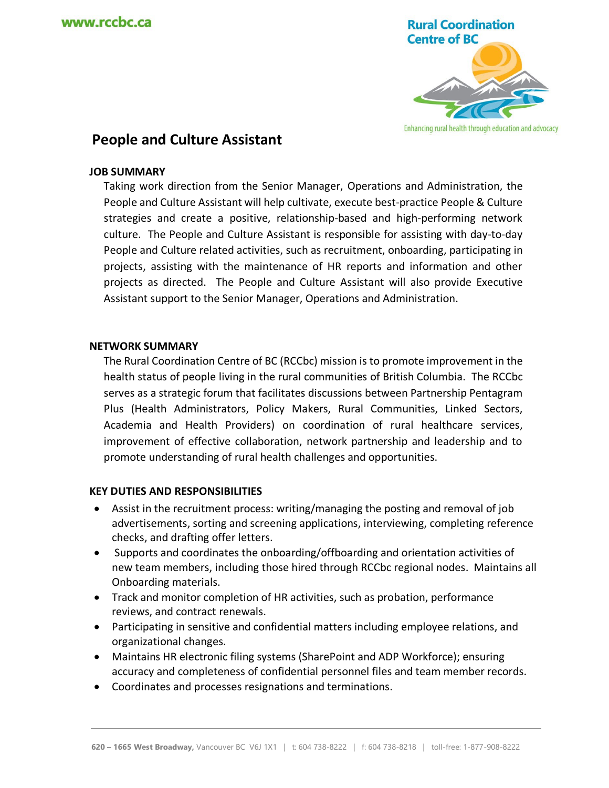

# **People and Culture Assistant**

### **JOB SUMMARY**

Taking work direction from the Senior Manager, Operations and Administration, the People and Culture Assistant will help cultivate, execute best-practice People & Culture strategies and create a positive, relationship-based and high-performing network culture. The People and Culture Assistant is responsible for assisting with day-to-day People and Culture related activities, such as recruitment, onboarding, participating in projects, assisting with the maintenance of HR reports and information and other projects as directed. The People and Culture Assistant will also provide Executive Assistant support to the Senior Manager, Operations and Administration.

#### **NETWORK SUMMARY**

The Rural Coordination Centre of BC (RCCbc) mission is to promote improvement in the health status of people living in the rural communities of British Columbia. The RCCbc serves as a strategic forum that facilitates discussions between Partnership Pentagram Plus (Health Administrators, Policy Makers, Rural Communities, Linked Sectors, Academia and Health Providers) on coordination of rural healthcare services, improvement of effective collaboration, network partnership and leadership and to promote understanding of rural health challenges and opportunities.

#### **KEY DUTIES AND RESPONSIBILITIES**

- Assist in the recruitment process: writing/managing the posting and removal of job advertisements, sorting and screening applications, interviewing, completing reference checks, and drafting offer letters.
- Supports and coordinates the onboarding/offboarding and orientation activities of new team members, including those hired through RCCbc regional nodes. Maintains all Onboarding materials.
- Track and monitor completion of HR activities, such as probation, performance reviews, and contract renewals.
- Participating in sensitive and confidential matters including employee relations, and organizational changes.
- Maintains HR electronic filing systems (SharePoint and ADP Workforce); ensuring accuracy and completeness of confidential personnel files and team member records.
- Coordinates and processes resignations and terminations.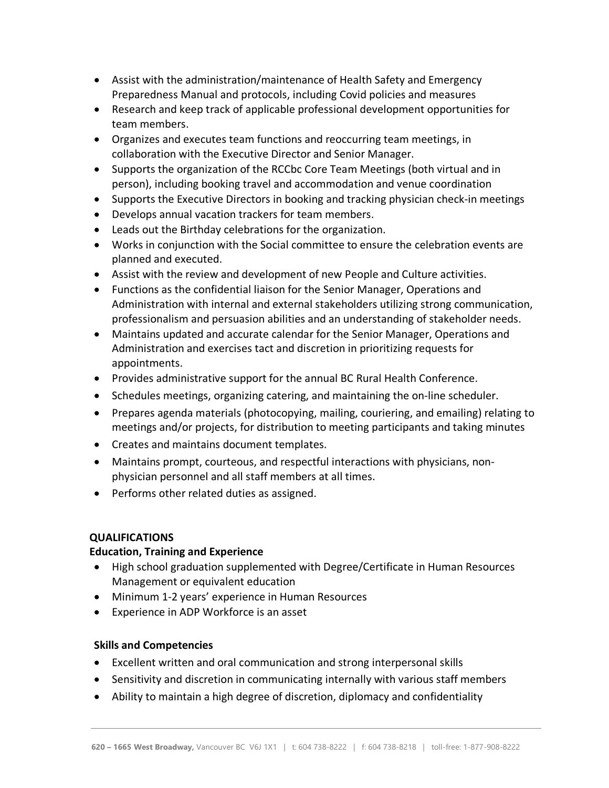- Assist with the administration/maintenance of Health Safety and Emergency Preparedness Manual and protocols, including Covid policies and measures
- Research and keep track of applicable professional development opportunities for team members.
- Organizes and executes team functions and reoccurring team meetings, in collaboration with the Executive Director and Senior Manager.
- Supports the organization of the RCCbc Core Team Meetings (both virtual and in person), including booking travel and accommodation and venue coordination
- Supports the Executive Directors in booking and tracking physician check-in meetings
- Develops annual vacation trackers for team members.
- Leads out the Birthday celebrations for the organization.
- Works in conjunction with the Social committee to ensure the celebration events are planned and executed.
- Assist with the review and development of new People and Culture activities.
- Functions as the confidential liaison for the Senior Manager, Operations and Administration with internal and external stakeholders utilizing strong communication, professionalism and persuasion abilities and an understanding of stakeholder needs.
- Maintains updated and accurate calendar for the Senior Manager, Operations and Administration and exercises tact and discretion in prioritizing requests for appointments.
- Provides administrative support for the annual BC Rural Health Conference.
- Schedules meetings, organizing catering, and maintaining the on-line scheduler.
- Prepares agenda materials (photocopying, mailing, couriering, and emailing) relating to meetings and/or projects, for distribution to meeting participants and taking minutes
- Creates and maintains document templates.
- Maintains prompt, courteous, and respectful interactions with physicians, nonphysician personnel and all staff members at all times.
- Performs other related duties as assigned.

## **QUALIFICATIONS**

## **Education, Training and Experience**

- High school graduation supplemented with Degree/Certificate in Human Resources Management or equivalent education
- Minimum 1-2 years' experience in Human Resources
- Experience in ADP Workforce is an asset

## **Skills and Competencies**

- Excellent written and oral communication and strong interpersonal skills
- Sensitivity and discretion in communicating internally with various staff members
- Ability to maintain a high degree of discretion, diplomacy and confidentiality